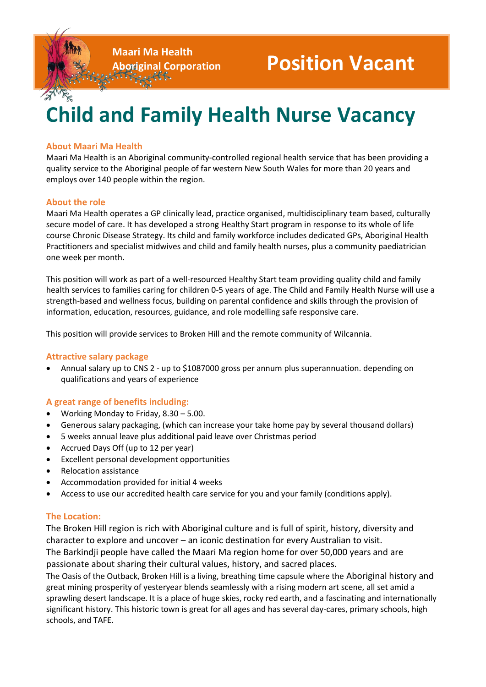**Maari Ma Health**

# **Child and Family Health Nurse Vacancy**

## **About Maari Ma Health**

Maari Ma Health is an Aboriginal community-controlled regional health service that has been providing a quality service to the Aboriginal people of far western New South Wales for more than 20 years and employs over 140 people within the region.

### **About the role**

Maari Ma Health operates a GP clinically lead, practice organised, multidisciplinary team based, culturally secure model of care. It has developed a strong Healthy Start program in response to its whole of life course Chronic Disease Strategy. Its child and family workforce includes dedicated GPs, Aboriginal Health Practitioners and specialist midwives and child and family health nurses, plus a community paediatrician one week per month.

This position will work as part of a well-resourced Healthy Start team providing quality child and family health services to families caring for children 0-5 years of age. The Child and Family Health Nurse will use a strength-based and wellness focus, building on parental confidence and skills through the provision of information, education, resources, guidance, and role modelling safe responsive care.

This position will provide services to Broken Hill and the remote community of Wilcannia.

### **Attractive salary package**

 Annual salary up to CNS 2 - up to \$1087000 gross per annum plus superannuation. depending on qualifications and years of experience

### **A great range of benefits including:**

- Working Monday to Friday, 8.30 5.00.
- Generous salary packaging, (which can increase your take home pay by several thousand dollars)
- 5 weeks annual leave plus additional paid leave over Christmas period
- Accrued Days Off (up to 12 per year)
- Excellent personal development opportunities
- Relocation assistance
- Accommodation provided for initial 4 weeks
- Access to use our accredited health care service for you and your family (conditions apply).

### **The Location:**

The Broken Hill region is rich with Aboriginal culture and is full of spirit, history, diversity and character to explore and uncover – an iconic destination for every Australian to visit. The Barkindji people have called the Maari Ma region home for over 50,000 years and are passionate about sharing their cultural values, history, and sacred places.

The Oasis of the Outback, Broken Hill is a living, breathing time capsule where the Aboriginal history and great mining prosperity of yesteryear blends seamlessly with a rising modern art scene, all set amid a sprawling desert landscape. It is a place of huge skies, rocky red earth, and a fascinating and internationally significant history. This historic town is great for all ages and has several day-cares, primary schools, high schools, and TAFE.